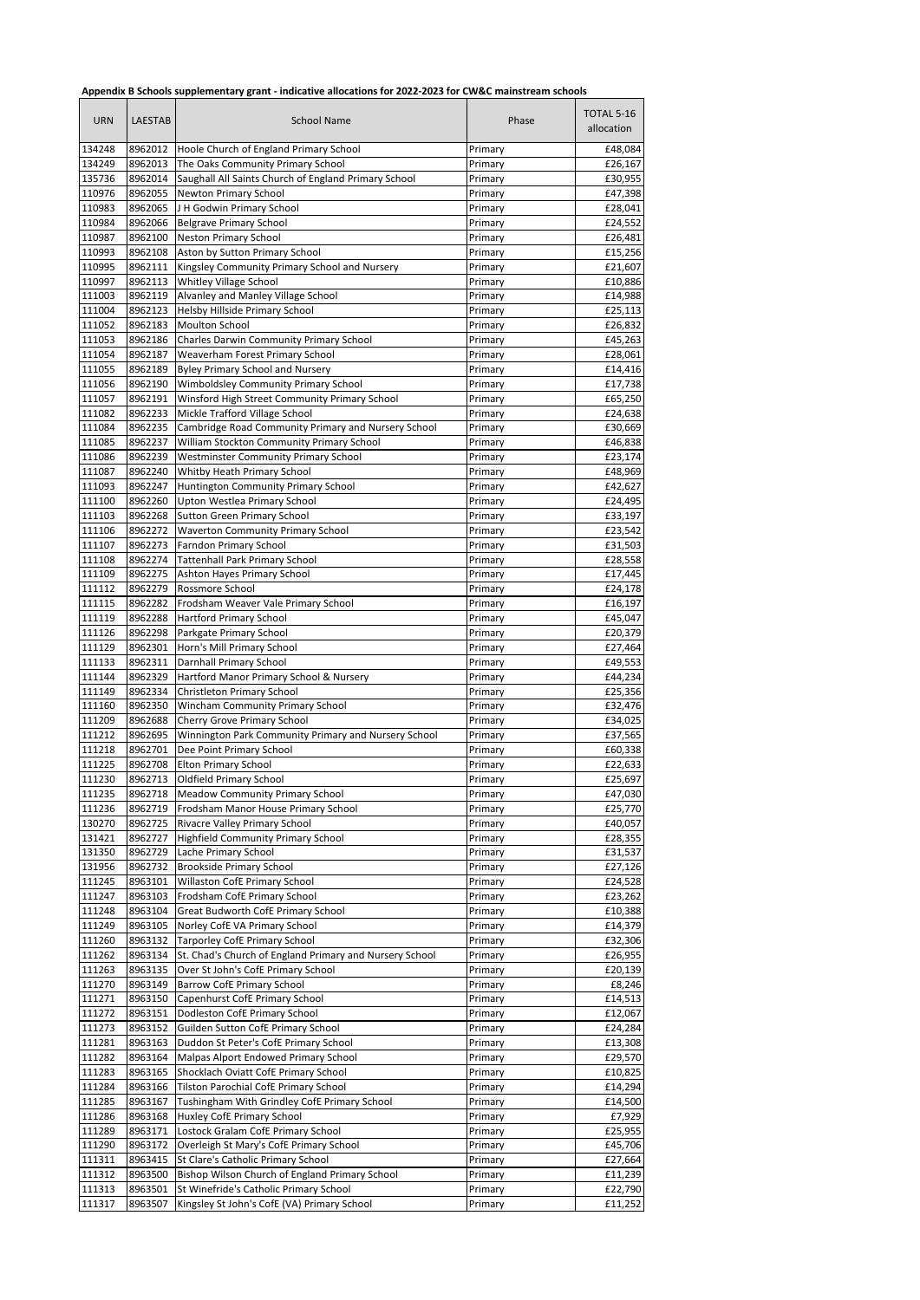|  | Appendix B Schools supplementary grant - indicative allocations for 2022-2023 for CW&C mainstream schools |
|--|-----------------------------------------------------------------------------------------------------------|
|--|-----------------------------------------------------------------------------------------------------------|

| <b>URN</b>       | <b>LAESTAB</b>     | rependix is sensors supprementary grant indicative an<br>School Name         | Phase              | TOTAL 5-16<br>allocation |
|------------------|--------------------|------------------------------------------------------------------------------|--------------------|--------------------------|
| 134248           | 8962012            | Hoole Church of England Primary School                                       | Primary            | £48,084                  |
| 134249           | 8962013            | The Oaks Community Primary School                                            | Primary            | £26,167                  |
| 135736           | 8962014            | Saughall All Saints Church of England Primary School                         | Primary            | £30,955                  |
| 110976           | 8962055            | Newton Primary School                                                        | Primary            | £47,398                  |
| 110983           | 8962065            | J H Godwin Primary School                                                    | Primary            | £28,041                  |
| 110984           | 8962066            | <b>Belgrave Primary School</b>                                               | Primary            | £24,552                  |
| 110987           | 8962100            | <b>Neston Primary School</b>                                                 | Primary            | £26,481                  |
| 110993           | 8962108            | Aston by Sutton Primary School                                               | Primary            | £15,256                  |
| 110995           | 8962111            | Kingsley Community Primary School and Nursery                                | Primary            | £21,607                  |
| 110997<br>111003 | 8962113<br>8962119 | Whitley Village School<br>Alvanley and Manley Village School                 | Primary            | £10,886<br>£14,988       |
| 111004           | 8962123            | Helsby Hillside Primary School                                               | Primary<br>Primary | £25,113                  |
| 111052           | 8962183            | Moulton School                                                               | Primary            | £26,832                  |
| 111053           | 8962186            | Charles Darwin Community Primary School                                      | Primary            | £45,263                  |
| 111054           | 8962187            | Weaverham Forest Primary School                                              | Primary            | £28,061                  |
| 111055           | 8962189            | Byley Primary School and Nursery                                             | Primary            | £14,416                  |
| 111056           | 8962190            | Wimboldsley Community Primary School                                         | Primary            | £17,738                  |
| 111057           | 8962191            | Winsford High Street Community Primary School                                | Primary            | £65,250                  |
| 111082           | 8962233            | Mickle Trafford Village School                                               | Primary            | £24,638                  |
| 111084           | 8962235            | Cambridge Road Community Primary and Nursery School                          | Primary            | £30,669                  |
| 111085           | 8962237            | William Stockton Community Primary School                                    | Primary            | £46,838                  |
| 111086           | 8962239            | <b>Westminster Community Primary School</b>                                  | Primary            | £23,174                  |
| 111087           | 8962240            | Whitby Heath Primary School                                                  | Primary            | £48,969                  |
| 111093           | 8962247            | Huntington Community Primary School                                          | Primary            | £42,627                  |
| 111100           | 8962260            | Upton Westlea Primary School                                                 | Primary            | £24,495                  |
| 111103           | 8962268            | Sutton Green Primary School                                                  | Primary            | £33,197                  |
| 111106           | 8962272            | Waverton Community Primary School                                            | Primary            | £23,542                  |
| 111107           | 8962273            | Farndon Primary School                                                       | Primary            | £31,503                  |
| 111108           | 8962274            | <b>Tattenhall Park Primary School</b>                                        | Primary            | £28,558                  |
| 111109<br>111112 | 8962275<br>8962279 | Ashton Hayes Primary School<br>Rossmore School                               | Primary<br>Primary | £17,445<br>£24,178       |
| 111115           | 8962282            | Frodsham Weaver Vale Primary School                                          | Primary            | £16,197                  |
| 111119           | 8962288            | <b>Hartford Primary School</b>                                               | Primary            | £45,047                  |
| 111126           | 8962298            | Parkgate Primary School                                                      | Primary            | £20,379                  |
| 111129           | 8962301            | Horn's Mill Primary School                                                   | Primary            | £27,464                  |
| 111133           | 8962311            | Darnhall Primary School                                                      | Primary            | £49,553                  |
| 111144           | 8962329            | Hartford Manor Primary School & Nursery                                      | Primary            | £44,234                  |
| 111149           | 8962334            | Christleton Primary School                                                   | Primary            | £25,356                  |
| 111160           | 8962350            | Wincham Community Primary School                                             | Primary            | £32,476                  |
| 111209           | 8962688            | Cherry Grove Primary School                                                  | Primary            | £34,025                  |
| 111212           | 8962695            | Winnington Park Community Primary and Nursery School                         | Primary            | £37,565                  |
| 111218           | 8962701            | Dee Point Primary School                                                     | Primary            | £60,338                  |
| 111225           | 8962708            | Elton Primary School                                                         | Primary            | £22,633                  |
| 111230           | 8962713            | Oldfield Primary School                                                      | Primary            | £25,697                  |
| 111235           | 8962718            | <b>Meadow Community Primary School</b>                                       | Primary            | £47,030                  |
| 111236<br>130270 | 8962725            | 8962719 Frodsham Manor House Primary School<br>Rivacre Valley Primary School | Primary<br>Primary | £25,770<br>£40,057       |
| 131421           | 8962727            | <b>Highfield Community Primary School</b>                                    | Primary            | £28,355                  |
| 131350           | 8962729            | Lache Primary School                                                         | Primary            | £31,537                  |
| 131956           | 8962732            | <b>Brookside Primary School</b>                                              | Primary            | £27,126                  |
| 111245           | 8963101            | Willaston CofE Primary School                                                | Primary            | £24,528                  |
| 111247           | 8963103            | Frodsham CofE Primary School                                                 | Primary            | £23,262                  |
| 111248           | 8963104            | Great Budworth CofE Primary School                                           | Primary            | £10,388                  |
| 111249           | 8963105            | Norley CofE VA Primary School                                                | Primary            | £14,379                  |
| 111260           | 8963132            | Tarporley CofE Primary School                                                | Primary            | £32,306                  |
| 111262           | 8963134            | St. Chad's Church of England Primary and Nursery School                      | Primary            | £26,955                  |
| 111263           | 8963135            | Over St John's CofE Primary School                                           | Primary            | £20,139                  |
| 111270           | 8963149            | <b>Barrow CofE Primary School</b>                                            | Primary            | £8,246                   |
| 111271           | 8963150            | Capenhurst CofE Primary School                                               | Primary            | £14,513                  |
| 111272           | 8963151            | Dodleston CofE Primary School                                                | Primary            | £12,067                  |
| 111273           | 8963152            | Guilden Sutton CofE Primary School                                           | Primary            | £24,284                  |
| 111281           | 8963163            | Duddon St Peter's CofE Primary School                                        | Primary            | £13,308                  |
| 111282<br>111283 | 8963164            | Malpas Alport Endowed Primary School<br>Shocklach Oviatt CofE Primary School | Primary            | £29,570                  |
| 111284           | 8963165<br>8963166 | Tilston Parochial CofE Primary School                                        | Primary            | £10,825<br>£14,294       |
| 111285           | 8963167            | Tushingham With Grindley CofE Primary School                                 | Primary<br>Primary | £14,500                  |
| 111286           | 8963168            | Huxley CofE Primary School                                                   | Primary            | £7,929                   |
| 111289           | 8963171            | Lostock Gralam CofE Primary School                                           | Primary            | £25,955                  |
| 111290           | 8963172            | Overleigh St Mary's CofE Primary School                                      | Primary            | £45,706                  |
| 111311           | 8963415            | St Clare's Catholic Primary School                                           | Primary            | £27,664                  |
| 111312           | 8963500            | Bishop Wilson Church of England Primary School                               | Primary            | £11,239                  |
| 111313           | 8963501            | St Winefride's Catholic Primary School                                       | Primary            | £22,790                  |
| 111317           | 8963507            | Kingsley St John's CofE (VA) Primary School                                  | Primary            | £11,252                  |